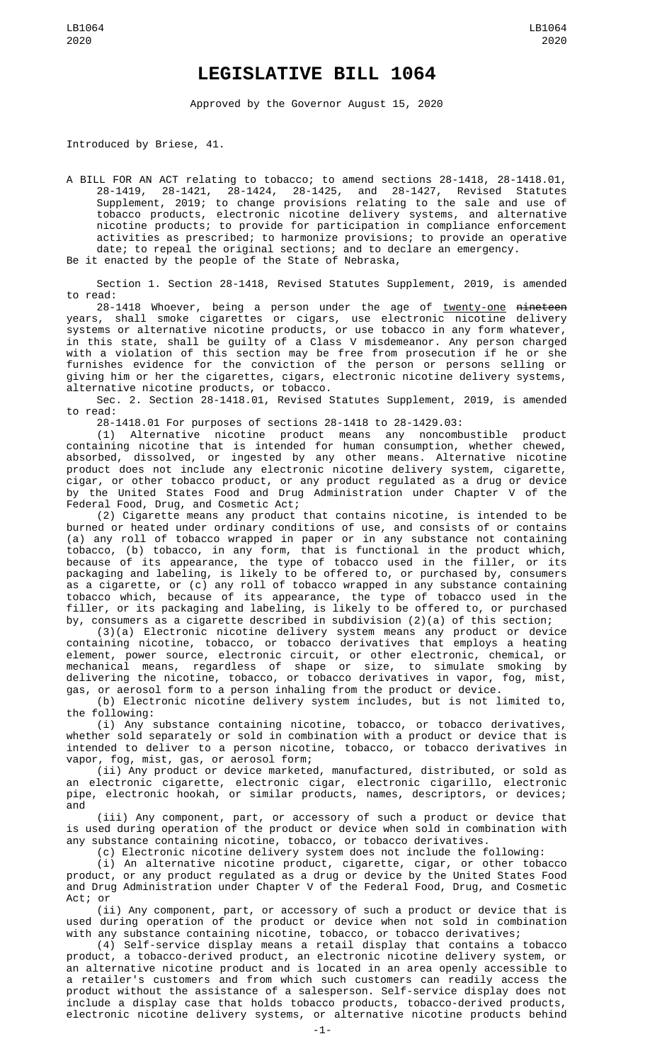## **LEGISLATIVE BILL 1064**

Approved by the Governor August 15, 2020

Introduced by Briese, 41.

A BILL FOR AN ACT relating to tobacco; to amend sections 28-1418, 28-1418.01, 28-1419, 28-1421, 28-1424, 28-1425, and 28-1427, Revised Statutes Supplement, 2019; to change provisions relating to the sale and use of tobacco products, electronic nicotine delivery systems, and alternative nicotine products; to provide for participation in compliance enforcement activities as prescribed; to harmonize provisions; to provide an operative date; to repeal the original sections; and to declare an emergency.

Be it enacted by the people of the State of Nebraska,

Section 1. Section 28-1418, Revised Statutes Supplement, 2019, is amended to read:

28-1418 Whoever, being a person under the age of <u>twenty-one</u> <del>nineteen</del> years, shall smoke cigarettes or cigars, use electronic nicotine delivery systems or alternative nicotine products, or use tobacco in any form whatever, in this state, shall be guilty of a Class V misdemeanor. Any person charged with a violation of this section may be free from prosecution if he or she furnishes evidence for the conviction of the person or persons selling or giving him or her the cigarettes, cigars, electronic nicotine delivery systems, alternative nicotine products, or tobacco.

Sec. 2. Section 28-1418.01, Revised Statutes Supplement, 2019, is amended to read:

28-1418.01 For purposes of sections 28-1418 to 28-1429.03:

(1) Alternative nicotine product means any noncombustible product containing nicotine that is intended for human consumption, whether chewed, absorbed, dissolved, or ingested by any other means. Alternative nicotine product does not include any electronic nicotine delivery system, cigarette, cigar, or other tobacco product, or any product regulated as a drug or device by the United States Food and Drug Administration under Chapter V of the Federal Food, Drug, and Cosmetic Act;

(2) Cigarette means any product that contains nicotine, is intended to be burned or heated under ordinary conditions of use, and consists of or contains (a) any roll of tobacco wrapped in paper or in any substance not containing tobacco, (b) tobacco, in any form, that is functional in the product which, because of its appearance, the type of tobacco used in the filler, or its packaging and labeling, is likely to be offered to, or purchased by, consumers as a cigarette, or (c) any roll of tobacco wrapped in any substance containing tobacco which, because of its appearance, the type of tobacco used in the filler, or its packaging and labeling, is likely to be offered to, or purchased by, consumers as a cigarette described in subdivision (2)(a) of this section;

(3)(a) Electronic nicotine delivery system means any product or device containing nicotine, tobacco, or tobacco derivatives that employs a heating element, power source, electronic circuit, or other electronic, chemical, or mechanical means, regardless of shape or size, to simulate smoking by delivering the nicotine, tobacco, or tobacco derivatives in vapor, fog, mist, gas, or aerosol form to a person inhaling from the product or device.

(b) Electronic nicotine delivery system includes, but is not limited to, the following:

(i) Any substance containing nicotine, tobacco, or tobacco derivatives, whether sold separately or sold in combination with a product or device that is intended to deliver to a person nicotine, tobacco, or tobacco derivatives in vapor, fog, mist, gas, or aerosol form;

(ii) Any product or device marketed, manufactured, distributed, or sold as an electronic cigarette, electronic cigar, electronic cigarillo, electronic pipe, electronic hookah, or similar products, names, descriptors, or devices; and

(iii) Any component, part, or accessory of such a product or device that is used during operation of the product or device when sold in combination with any substance containing nicotine, tobacco, or tobacco derivatives.

(c) Electronic nicotine delivery system does not include the following:

(i) An alternative nicotine product, cigarette, cigar, or other tobacco product, or any product regulated as a drug or device by the United States Food and Drug Administration under Chapter V of the Federal Food, Drug, and Cosmetic Act; or

(ii) Any component, part, or accessory of such a product or device that is used during operation of the product or device when not sold in combination with any substance containing nicotine, tobacco, or tobacco derivatives;

(4) Self-service display means a retail display that contains a tobacco product, a tobacco-derived product, an electronic nicotine delivery system, or an alternative nicotine product and is located in an area openly accessible to a retailer's customers and from which such customers can readily access the product without the assistance of a salesperson. Self-service display does not include a display case that holds tobacco products, tobacco-derived products, electronic nicotine delivery systems, or alternative nicotine products behind